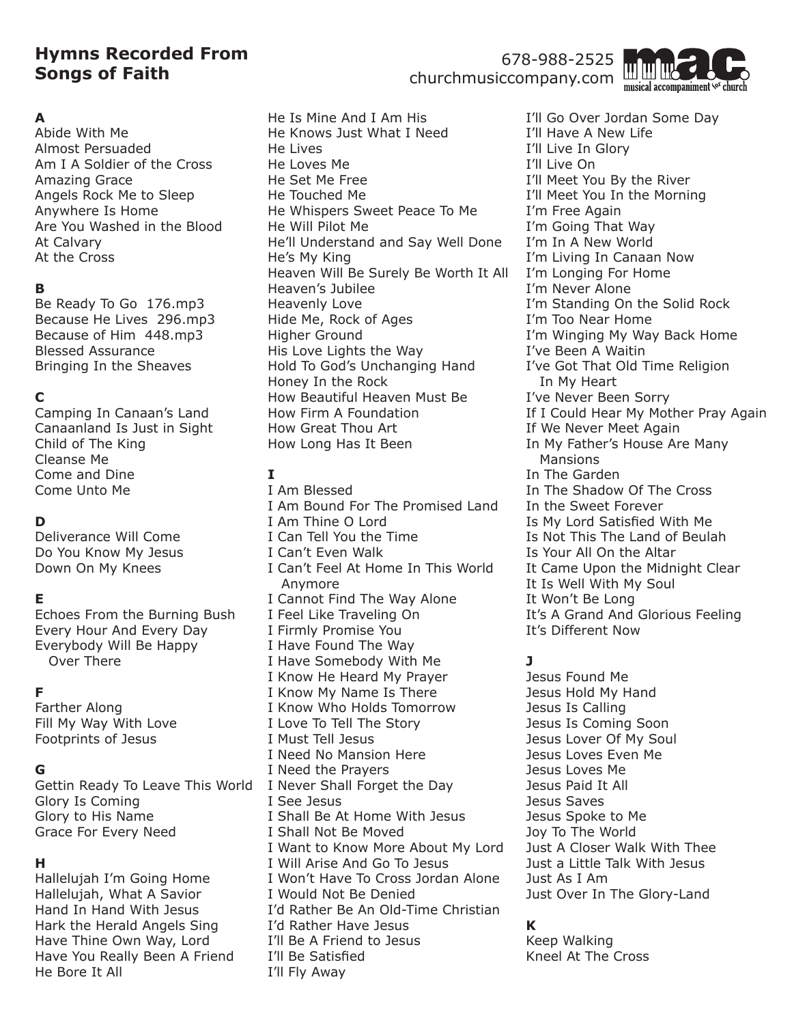# **Hymns Recorded From Songs of Faith**

## **A**

Abide With Me Almost Persuaded Am I A Soldier of the Cross Amazing Grace Angels Rock Me to Sleep Anywhere Is Home Are You Washed in the Blood At Calvary At the Cross

## **B**

Be Ready To Go 176.mp3 Because He Lives 296.mp3 Because of Him 448.mp3 Blessed Assurance Bringing In the Sheaves

# **C**

Camping In Canaan's Land Canaanland Is Just in Sight Child of The King Cleanse Me Come and Dine Come Unto Me

## **D**

Deliverance Will Come Do You Know My Jesus Down On My Knees

## **E**

Echoes From the Burning Bush Every Hour And Every Day Everybody Will Be Happy Over There

## **F**

Farther Along Fill My Way With Love Footprints of Jesus

### **G**

Gettin Ready To Leave This World I Never Shall Forget the Day Glory Is Coming Glory to His Name Grace For Every Need

### **H**

Hallelujah I'm Going Home Hallelujah, What A Savior Hand In Hand With Jesus Hark the Herald Angels Sing Have Thine Own Way, Lord Have You Really Been A Friend He Bore It All

He Is Mine And I Am His He Knows Just What I Need He Lives He Loves Me He Set Me Free He Touched Me He Whispers Sweet Peace To Me He Will Pilot Me He'll Understand and Say Well Done He's My King Heaven Will Be Surely Be Worth It All Heaven's Jubilee Heavenly Love Hide Me, Rock of Ages Higher Ground His Love Lights the Way Hold To God's Unchanging Hand Honey In the Rock How Beautiful Heaven Must Be How Firm A Foundation How Great Thou Art How Long Has It Been

## **I**

I Am Blessed I Am Bound For The Promised Land I Am Thine O Lord I Can Tell You the Time I Can't Even Walk I Can't Feel At Home In This World Anymore I Cannot Find The Way Alone I Feel Like Traveling On I Firmly Promise You I Have Found The Way I Have Somebody With Me I Know He Heard My Prayer I Know My Name Is There I Know Who Holds Tomorrow I Love To Tell The Story I Must Tell Jesus I Need No Mansion Here I Need the Prayers I See Jesus I Shall Be At Home With Jesus I Shall Not Be Moved I Want to Know More About My Lord I Will Arise And Go To Jesus I Won't Have To Cross Jordan Alone I Would Not Be Denied I'd Rather Be An Old-Time Christian I'd Rather Have Jesus I'll Be A Friend to Jesus I'll Be Satisfied I'll Fly Away

I'll Go Over Jordan Some Day I'll Have A New Life I'll Live In Glory I'll Live On I'll Meet You By the River I'll Meet You In the Morning I'm Free Again I'm Going That Way I'm In A New World I'm Living In Canaan Now I'm Longing For Home I'm Never Alone I'm Standing On the Solid Rock I'm Too Near Home I'm Winging My Way Back Home I've Been A Waitin I've Got That Old Time Religion In My Heart I've Never Been Sorry If I Could Hear My Mother Pray Again If We Never Meet Again In My Father's House Are Many Mansions In The Garden In The Shadow Of The Cross In the Sweet Forever Is My Lord Satisfied With Me Is Not This The Land of Beulah Is Your All On the Altar It Came Upon the Midnight Clear It Is Well With My Soul It Won't Be Long It's A Grand And Glorious Feeling It's Different Now

## **J**

Jesus Found Me Jesus Hold My Hand Jesus Is Calling Jesus Is Coming Soon Jesus Lover Of My Soul Jesus Loves Even Me Jesus Loves Me Jesus Paid It All Jesus Saves Jesus Spoke to Me Joy To The World Just A Closer Walk With Thee Just a Little Talk With Jesus Just As I Am Just Over In The Glory-Land

## **K**

Keep Walking Kneel At The Cross

# 678-988-2525 churchmusiccompany.com